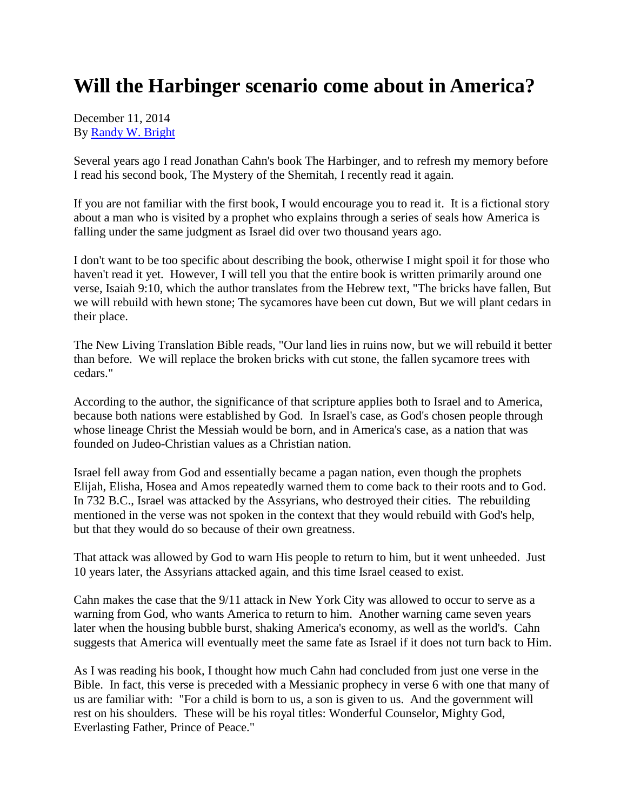## **Will the Harbinger scenario come about in America?**

December 11, 2014 By [Randy W. Bright](http://www.tulsabeacon.com/author/slug-o6yd1v)

Several years ago I read Jonathan Cahn's book The Harbinger, and to refresh my memory before I read his second book, The Mystery of the Shemitah, I recently read it again.

If you are not familiar with the first book, I would encourage you to read it. It is a fictional story about a man who is visited by a prophet who explains through a series of seals how America is falling under the same judgment as Israel did over two thousand years ago.

I don't want to be too specific about describing the book, otherwise I might spoil it for those who haven't read it yet. However, I will tell you that the entire book is written primarily around one verse, Isaiah 9:10, which the author translates from the Hebrew text, "The bricks have fallen, But we will rebuild with hewn stone; The sycamores have been cut down, But we will plant cedars in their place.

The New Living Translation Bible reads, "Our land lies in ruins now, but we will rebuild it better than before. We will replace the broken bricks with cut stone, the fallen sycamore trees with cedars."

According to the author, the significance of that scripture applies both to Israel and to America, because both nations were established by God. In Israel's case, as God's chosen people through whose lineage Christ the Messiah would be born, and in America's case, as a nation that was founded on Judeo-Christian values as a Christian nation.

Israel fell away from God and essentially became a pagan nation, even though the prophets Elijah, Elisha, Hosea and Amos repeatedly warned them to come back to their roots and to God. In 732 B.C., Israel was attacked by the Assyrians, who destroyed their cities. The rebuilding mentioned in the verse was not spoken in the context that they would rebuild with God's help, but that they would do so because of their own greatness.

That attack was allowed by God to warn His people to return to him, but it went unheeded. Just 10 years later, the Assyrians attacked again, and this time Israel ceased to exist.

Cahn makes the case that the 9/11 attack in New York City was allowed to occur to serve as a warning from God, who wants America to return to him. Another warning came seven years later when the housing bubble burst, shaking America's economy, as well as the world's. Cahn suggests that America will eventually meet the same fate as Israel if it does not turn back to Him.

As I was reading his book, I thought how much Cahn had concluded from just one verse in the Bible. In fact, this verse is preceded with a Messianic prophecy in verse 6 with one that many of us are familiar with: "For a child is born to us, a son is given to us. And the government will rest on his shoulders. These will be his royal titles: Wonderful Counselor, Mighty God, Everlasting Father, Prince of Peace."